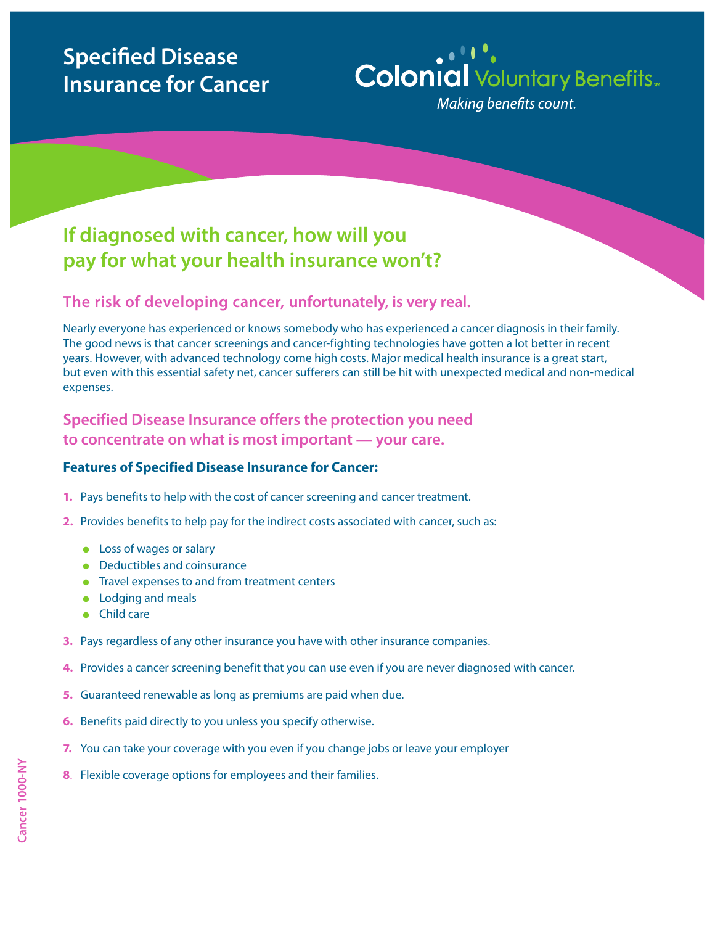# **Specified Disease Insurance for Cancer**

# **Colonial** Voluntary Benefits...

Making benefits count.

## **If diagnosed with cancer, how will you pay for what your health insurance won't?**

### **The risk of developing cancer, unfortunately, is very real.**

Nearly everyone has experienced or knows somebody who has experienced a cancer diagnosis in their family. The good news is that cancer screenings and cancer-fighting technologies have gotten a lot better in recent years. However, with advanced technology come high costs. Major medical health insurance is a great start, but even with this essential safety net, cancer sufferers can still be hit with unexpected medical and non-medical expenses.

**Specified Disease Insurance offers the protection you need to concentrate on what is most important — your care.**

#### **Features of Specified Disease Insurance for Cancer:**

- **1.** Pays benefits to help with the cost of cancer screening and cancer treatment.
- **2.** Provides benefits to help pay for the indirect costs associated with cancer, such as:
	- $\bullet$  Loss of wages or salary
	- $\bullet$  Deductibles and coinsurance
	- $\bullet$  Travel expenses to and from treatment centers
	- Lodging and meals
	- $\bullet$  Child care
- **3.** Pays regardless of any other insurance you have with other insurance companies.
- **4.** Provides a cancer screening benefit that you can use even if you are never diagnosed with cancer.
- **5.** Guaranteed renewable as long as premiums are paid when due.
- **6.** Benefits paid directly to you unless you specify otherwise.
- **7.** You can take your coverage with you even if you change jobs or leave your employer
- **8**. Flexible coverage options for employees and their families.